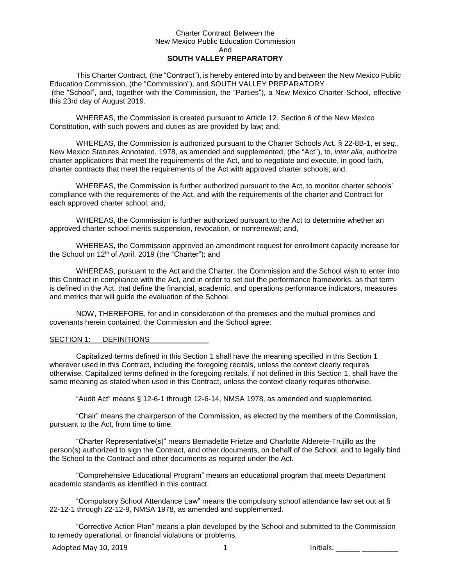#### Charter Contract Between the New Mexico Public Education Commission And **SOUTH VALLEY PREPARATORY**

This Charter Contract, (the "Contract"), is hereby entered into by and between the New Mexico Public Education Commission, (the "Commission"), and SOUTH VALLEY PREPARATORY (the "School", and, together with the Commission, the "Parties"), a New Mexico Charter School, effective this 23rd day of August 2019.

WHEREAS, the Commission is created pursuant to Article 12, Section 6 of the New Mexico Constitution, with such powers and duties as are provided by law; and,

WHEREAS, the Commission is authorized pursuant to the Charter Schools Act, § 22-8B-1, *et seq.*, New Mexico Statutes Annotated, 1978, as amended and supplemented, (the "Act"), to, *inter alia*, authorize charter applications that meet the requirements of the Act, and to negotiate and execute, in good faith, charter contracts that meet the requirements of the Act with approved charter schools; and,

WHEREAS, the Commission is further authorized pursuant to the Act, to monitor charter schools' compliance with the requirements of the Act, and with the requirements of the charter and Contract for each approved charter school; and,

WHEREAS, the Commission is further authorized pursuant to the Act to determine whether an approved charter school merits suspension, revocation, or nonrenewal; and,

WHEREAS, the Commission approved an amendment request for enrollment capacity increase for the School on 12<sup>th</sup> of April, 2019 (the "Charter"); and

WHEREAS, pursuant to the Act and the Charter, the Commission and the School wish to enter into this Contract in compliance with the Act, and in order to set out the performance frameworks, as that term is defined in the Act, that define the financial, academic, and operations performance indicators, measures and metrics that will guide the evaluation of the School.

NOW, THEREFORE, for and in consideration of the premises and the mutual promises and covenants herein contained, the Commission and the School agree:

#### SECTION 1: DEFINITIONS

Capitalized terms defined in this Section 1 shall have the meaning specified in this Section 1 wherever used in this Contract, including the foregoing recitals, unless the context clearly requires otherwise. Capitalized terms defined in the foregoing recitals, if not defined in this Section 1, shall have the same meaning as stated when used in this Contract, unless the context clearly requires otherwise.

"Audit Act" means § 12-6-1 through 12-6-14, NMSA 1978, as amended and supplemented.

"Chair" means the chairperson of the Commission, as elected by the members of the Commission, pursuant to the Act, from time to time.

"Charter Representative(s)" means Bernadette Frietze and Charlotte Alderete-Trujillo as the person(s) authorized to sign the Contract, and other documents, on behalf of the School, and to legally bind the School to the Contract and other documents as required under the Act.

"Comprehensive Educational Program" means an educational program that meets Department academic standards as identified in this contract.

"Compulsory School Attendance Law" means the compulsory school attendance law set out at § 22-12-1 through 22-12-9, NMSA 1978, as amended and supplemented.

"Corrective Action Plan" means a plan developed by the School and submitted to the Commission to remedy operational, or financial violations or problems.

Adopted May 10, 2019 1 Initials: \_\_\_\_\_\_ \_\_\_\_\_\_\_\_\_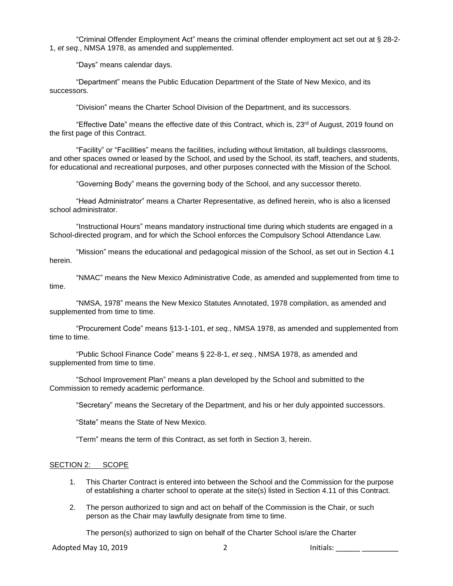"Criminal Offender Employment Act" means the criminal offender employment act set out at § 28-2- 1, *et seq.*, NMSA 1978, as amended and supplemented.

"Days" means calendar days.

"Department" means the Public Education Department of the State of New Mexico, and its successors.

"Division" means the Charter School Division of the Department, and its successors.

"Effective Date" means the effective date of this Contract, which is, 23rd of August, 2019 found on the first page of this Contract.

"Facility" or "Facilities" means the facilities, including without limitation, all buildings classrooms, and other spaces owned or leased by the School, and used by the School, its staff, teachers, and students, for educational and recreational purposes, and other purposes connected with the Mission of the School.

"Governing Body" means the governing body of the School, and any successor thereto.

"Head Administrator" means a Charter Representative, as defined herein, who is also a licensed school administrator.

"Instructional Hours" means mandatory instructional time during which students are engaged in a School-directed program, and for which the School enforces the Compulsory School Attendance Law.

"Mission" means the educational and pedagogical mission of the School, as set out in Section 4.1 herein.

"NMAC" means the New Mexico Administrative Code, as amended and supplemented from time to time.

"NMSA, 1978" means the New Mexico Statutes Annotated, 1978 compilation, as amended and supplemented from time to time.

"Procurement Code" means §13-1-101, *et seq.*, NMSA 1978, as amended and supplemented from time to time.

"Public School Finance Code" means § 22-8-1, *et seq.*, NMSA 1978, as amended and supplemented from time to time.

"School Improvement Plan" means a plan developed by the School and submitted to the Commission to remedy academic performance.

"Secretary" means the Secretary of the Department, and his or her duly appointed successors.

"State" means the State of New Mexico.

"Term" means the term of this Contract, as set forth in Section 3, herein.

#### SECTION 2: SCOPE

- 1. This Charter Contract is entered into between the School and the Commission for the purpose of establishing a charter school to operate at the site(s) listed in Section 4.11 of this Contract.
- 2. The person authorized to sign and act on behalf of the Commission is the Chair, or such person as the Chair may lawfully designate from time to time.

The person(s) authorized to sign on behalf of the Charter School is/are the Charter

Adopted May 10, 2019 2 Initials: \_\_\_\_\_\_ \_\_\_\_\_\_\_\_\_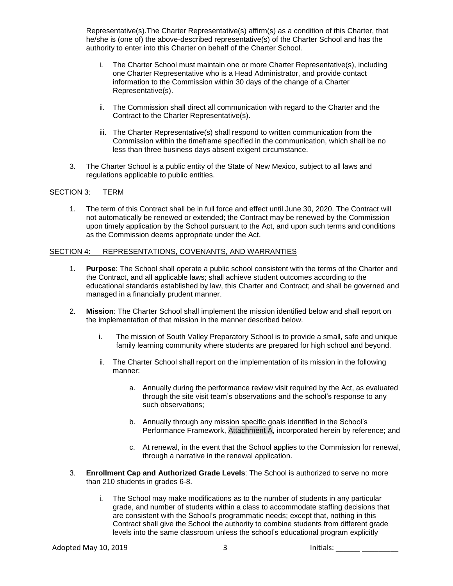Representative(s).The Charter Representative(s) affirm(s) as a condition of this Charter, that he/she is (one of) the above-described representative(s) of the Charter School and has the authority to enter into this Charter on behalf of the Charter School.

- i. The Charter School must maintain one or more Charter Representative(s), including one Charter Representative who is a Head Administrator, and provide contact information to the Commission within 30 days of the change of a Charter Representative(s).
- ii. The Commission shall direct all communication with regard to the Charter and the Contract to the Charter Representative(s).
- iii. The Charter Representative(s) shall respond to written communication from the Commission within the timeframe specified in the communication, which shall be no less than three business days absent exigent circumstance.
- 3. The Charter School is a public entity of the State of New Mexico, subject to all laws and regulations applicable to public entities.

#### SECTION 3: TERM

1. The term of this Contract shall be in full force and effect until June 30, 2020. The Contract will not automatically be renewed or extended; the Contract may be renewed by the Commission upon timely application by the School pursuant to the Act, and upon such terms and conditions as the Commission deems appropriate under the Act.

#### SECTION 4: REPRESENTATIONS, COVENANTS, AND WARRANTIES

- 1. **Purpose**: The School shall operate a public school consistent with the terms of the Charter and the Contract, and all applicable laws; shall achieve student outcomes according to the educational standards established by law, this Charter and Contract; and shall be governed and managed in a financially prudent manner.
- 2. **Mission**: The Charter School shall implement the mission identified below and shall report on the implementation of that mission in the manner described below.
	- i. The mission of South Valley Preparatory School is to provide a small, safe and unique family learning community where students are prepared for high school and beyond.
	- ii. The Charter School shall report on the implementation of its mission in the following manner:
		- a. Annually during the performance review visit required by the Act, as evaluated through the site visit team's observations and the school's response to any such observations;
		- b. Annually through any mission specific goals identified in the School's Performance Framework, Attachment A, incorporated herein by reference; and
		- c. At renewal, in the event that the School applies to the Commission for renewal, through a narrative in the renewal application.
- 3. **Enrollment Cap and Authorized Grade Levels**: The School is authorized to serve no more than 210 students in grades 6-8.
	- i. The School may make modifications as to the number of students in any particular grade, and number of students within a class to accommodate staffing decisions that are consistent with the School's programmatic needs; except that, nothing in this Contract shall give the School the authority to combine students from different grade levels into the same classroom unless the school's educational program explicitly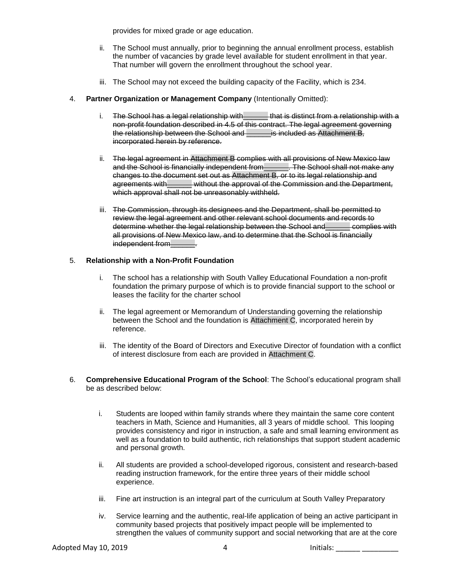provides for mixed grade or age education.

- ii. The School must annually, prior to beginning the annual enrollment process, establish the number of vacancies by grade level available for student enrollment in that year. That number will govern the enrollment throughout the school year.
- iii. The School may not exceed the building capacity of the Facility, which is 234.
- 4. **Partner Organization or Management Company** (Intentionally Omitted):
	- i. The School has a legal relationship with that is distinct from a relationship with a non-profit foundation described in 4.5 of this contract. The legal agreement governing the relationship between the School and \_\_\_\_\_\_\_ is included as Attachment B, incorporated herein by reference.
	- ii. The legal agreement in Attachment B complies with all provisions of New Mexico law and the School is financially independent from Fig. The School shall not make any changes to the document set out as Attachment B, or to its legal relationship and agreements with without the approval of the Commission and the Department, which approval shall not be unreasonably withheld.
	- iii. The Commission, through its designees and the Department, shall be permitted to review the legal agreement and other relevant school documents and records to determine whether the legal relationship between the School and\_\_\_\_\_\_ complies with all provisions of New Mexico law, and to determine that the School is financially independent from

### 5. **Relationship with a Non-Profit Foundation**

- i. The school has a relationship with South Valley Educational Foundation a non-profit foundation the primary purpose of which is to provide financial support to the school or leases the facility for the charter school
- ii. The legal agreement or Memorandum of Understanding governing the relationship between the School and the foundation is Attachment C, incorporated herein by reference.
- iii. The identity of the Board of Directors and Executive Director of foundation with a conflict of interest disclosure from each are provided in Attachment C.
- 6. **Comprehensive Educational Program of the School**: The School's educational program shall be as described below:
	- i. Students are looped within family strands where they maintain the same core content teachers in Math, Science and Humanities, all 3 years of middle school. This looping provides consistency and rigor in instruction, a safe and small learning environment as well as a foundation to build authentic, rich relationships that support student academic and personal growth.
	- ii. All students are provided a school-developed rigorous, consistent and research-based reading instruction framework, for the entire three years of their middle school experience.
	- iii. Fine art instruction is an integral part of the curriculum at South Valley Preparatory
	- iv. Service learning and the authentic, real-life application of being an active participant in community based projects that positively impact people will be implemented to strengthen the values of community support and social networking that are at the core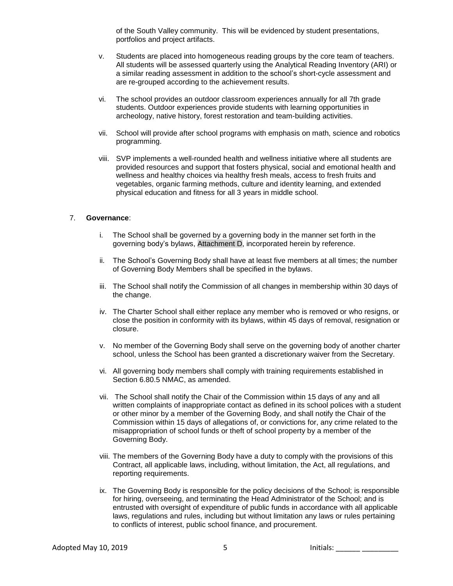of the South Valley community. This will be evidenced by student presentations, portfolios and project artifacts.

- v. Students are placed into homogeneous reading groups by the core team of teachers. All students will be assessed quarterly using the Analytical Reading Inventory (ARI) or a similar reading assessment in addition to the school's short-cycle assessment and are re-grouped according to the achievement results.
- vi. The school provides an outdoor classroom experiences annually for all 7th grade students. Outdoor experiences provide students with learning opportunities in archeology, native history, forest restoration and team-building activities.
- vii. School will provide after school programs with emphasis on math, science and robotics programming.
- viii. SVP implements a well-rounded health and wellness initiative where all students are provided resources and support that fosters physical, social and emotional health and wellness and healthy choices via healthy fresh meals, access to fresh fruits and vegetables, organic farming methods, culture and identity learning, and extended physical education and fitness for all 3 years in middle school.

#### 7. **Governance**:

- i. The School shall be governed by a governing body in the manner set forth in the governing body's bylaws, Attachment D, incorporated herein by reference.
- ii. The School's Governing Body shall have at least five members at all times; the number of Governing Body Members shall be specified in the bylaws.
- iii. The School shall notify the Commission of all changes in membership within 30 days of the change.
- iv. The Charter School shall either replace any member who is removed or who resigns, or close the position in conformity with its bylaws, within 45 days of removal, resignation or closure.
- v. No member of the Governing Body shall serve on the governing body of another charter school, unless the School has been granted a discretionary waiver from the Secretary.
- vi. All governing body members shall comply with training requirements established in Section 6.80.5 NMAC, as amended.
- vii. The School shall notify the Chair of the Commission within 15 days of any and all written complaints of inappropriate contact as defined in its school polices with a student or other minor by a member of the Governing Body, and shall notify the Chair of the Commission within 15 days of allegations of, or convictions for, any crime related to the misappropriation of school funds or theft of school property by a member of the Governing Body.
- viii. The members of the Governing Body have a duty to comply with the provisions of this Contract, all applicable laws, including, without limitation, the Act, all regulations, and reporting requirements.
- ix. The Governing Body is responsible for the policy decisions of the School; is responsible for hiring, overseeing, and terminating the Head Administrator of the School; and is entrusted with oversight of expenditure of public funds in accordance with all applicable laws, regulations and rules, including but without limitation any laws or rules pertaining to conflicts of interest, public school finance, and procurement.